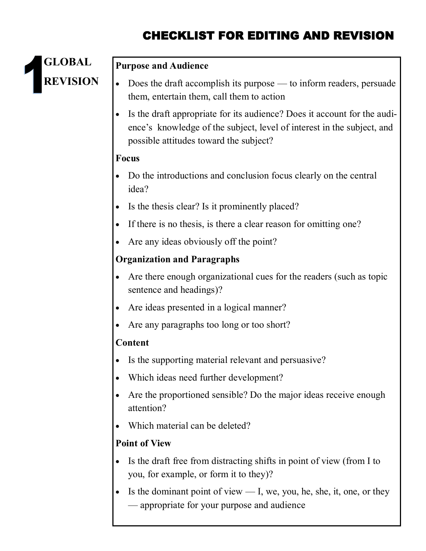# CHECKLIST FOR EDITING AND REVISION



#### **Purpose and Audience**

- Does the draft accomplish its purpose to inform readers, persuade them, entertain them, call them to action
- Is the draft appropriate for its audience? Does it account for the audience's knowledge of the subject, level of interest in the subject, and possible attitudes toward the subject?

#### **Focus**

- Do the introductions and conclusion focus clearly on the central idea?
- Is the thesis clear? Is it prominently placed?
- If there is no thesis, is there a clear reason for omitting one?
- Are any ideas obviously off the point?

#### **Organization and Paragraphs**

- Are there enough organizational cues for the readers (such as topic sentence and headings)?
- Are ideas presented in a logical manner?
- Are any paragraphs too long or too short?

#### **Content**

- Is the supporting material relevant and persuasive?
- Which ideas need further development?
- Are the proportioned sensible? Do the major ideas receive enough attention?
- Which material can be deleted?

### **Point of View**

- Is the draft free from distracting shifts in point of view (from I to you, for example, or form it to they)?
- Is the dominant point of view  $\frac{1}{1}$ , we, you, he, she, it, one, or they — appropriate for your purpose and audience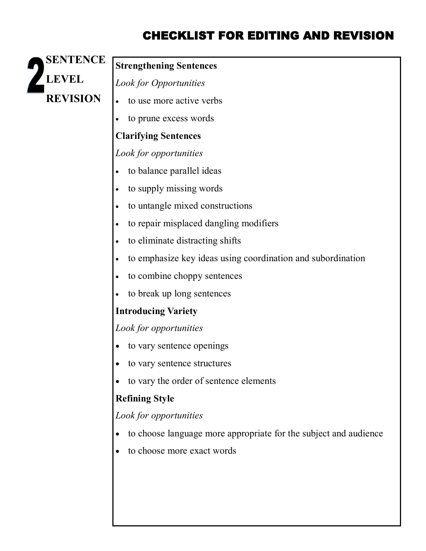## CHECKLIST FOR EDITING AND REVISION



## **Strengthening Sentences**

*Look for Opportunities*

- to use more active verbs
- to prune excess words

## **Clarifying Sentences**

*Look for opportunities*

- to balance parallel ideas
- to supply missing words
- to untangle mixed constructions
- to repair misplaced dangling modifiers
- to eliminate distracting shifts
- to emphasize key ideas using coordination and subordination
- to combine choppy sentences
- to break up long sentences

## **Introducing Variety**

*Look for opportunities*

- to vary sentence openings
- to vary sentence structures
- to vary the order of sentence elements

## **Refining Style**

*Look for opportunities*

- to choose language more appropriate for the subject and audience
- to choose more exact words